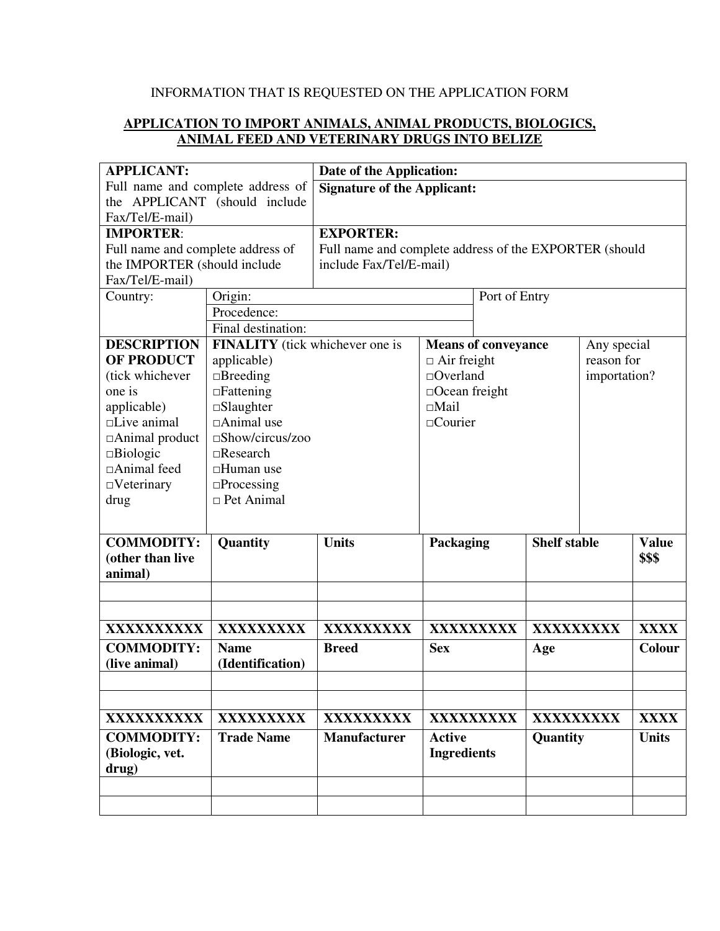## INFORMATION THAT IS REQUESTED ON THE APPLICATION FORM

## **APPLICATION TO IMPORT ANIMALS, ANIMAL PRODUCTS, BIOLOGICS, ANIMAL FEED AND VETERINARY DRUGS INTO BELIZE**

| <b>APPLICANT:</b>                 |                                        | Date of the Application:                               |                    |                            |                     |              |              |  |
|-----------------------------------|----------------------------------------|--------------------------------------------------------|--------------------|----------------------------|---------------------|--------------|--------------|--|
| Full name and complete address of |                                        | <b>Signature of the Applicant:</b>                     |                    |                            |                     |              |              |  |
| the APPLICANT (should include     |                                        |                                                        |                    |                            |                     |              |              |  |
| Fax/Tel/E-mail)                   |                                        |                                                        |                    |                            |                     |              |              |  |
| <b>IMPORTER:</b>                  |                                        | <b>EXPORTER:</b>                                       |                    |                            |                     |              |              |  |
| Full name and complete address of |                                        | Full name and complete address of the EXPORTER (should |                    |                            |                     |              |              |  |
| the IMPORTER (should include      |                                        | include Fax/Tel/E-mail)                                |                    |                            |                     |              |              |  |
| Fax/Tel/E-mail)                   |                                        |                                                        |                    |                            |                     |              |              |  |
| Country:                          | Origin:                                |                                                        | Port of Entry      |                            |                     |              |              |  |
|                                   | Procedence:                            |                                                        |                    |                            |                     |              |              |  |
|                                   | Final destination:                     |                                                        |                    |                            |                     |              |              |  |
| <b>DESCRIPTION</b>                | <b>FINALITY</b> (tick whichever one is |                                                        |                    | <b>Means of conveyance</b> |                     | Any special  |              |  |
| <b>OF PRODUCT</b>                 | applicable)                            | $\Box$ Air freight                                     |                    |                            | reason for          |              |              |  |
| (tick whichever                   | $\Box$ Breeding                        |                                                        | $\Box$ Overland    |                            |                     | importation? |              |  |
| one is                            | $\Box$ Fattening                       | $\Box$ Ocean freight                                   |                    |                            |                     |              |              |  |
| applicable)                       | $\square$ Slaughter                    | $\square$ Mail                                         |                    |                            |                     |              |              |  |
| $\Box$ Live animal                | $\Box$ Animal use                      |                                                        | □Courier           |                            |                     |              |              |  |
| □ Animal product                  | $\square$ Show/circus/zoo              |                                                        |                    |                            |                     |              |              |  |
| $\square$ Biologic                | $\Box$ Research                        |                                                        |                    |                            |                     |              |              |  |
| □Animal feed                      | $\Box$ Human use                       |                                                        |                    |                            |                     |              |              |  |
| $\Box$ Veterinary                 | $\square$ Processing                   |                                                        |                    |                            |                     |              |              |  |
| drug                              | $\Box$ Pet Animal                      |                                                        |                    |                            |                     |              |              |  |
|                                   |                                        |                                                        |                    |                            |                     |              |              |  |
| <b>COMMODITY:</b>                 | Quantity                               | <b>Units</b>                                           | Packaging          |                            | <b>Shelf stable</b> |              | <b>Value</b> |  |
| (other than live                  |                                        |                                                        |                    |                            |                     |              | \$\$\$       |  |
| animal)                           |                                        |                                                        |                    |                            |                     |              |              |  |
|                                   |                                        |                                                        |                    |                            |                     |              |              |  |
|                                   |                                        |                                                        |                    |                            |                     |              |              |  |
| XXXXXXXXXX                        | <b>XXXXXXXXX</b>                       | XXXXXXXXX                                              | <b>XXXXXXXXX</b>   |                            | XXXXXXXXX           |              | <b>XXXX</b>  |  |
| <b>COMMODITY:</b>                 | <b>Name</b>                            | <b>Breed</b>                                           | <b>Sex</b>         |                            | Age                 |              | Colour       |  |
| (live animal)                     | (Identification)                       |                                                        |                    |                            |                     |              |              |  |
|                                   |                                        |                                                        |                    |                            |                     |              |              |  |
|                                   |                                        |                                                        |                    |                            |                     |              |              |  |
| XXXXXXXXXX                        | XXXXXXXXX                              | XXXXXXXXX                                              |                    | XXXXXXXXX                  |                     | XXXXXXXXX    |              |  |
| <b>COMMODITY:</b>                 | <b>Trade Name</b>                      | <b>Manufacturer</b>                                    | <b>Active</b>      | Quantity                   |                     |              | <b>Units</b> |  |
| (Biologic, vet.                   |                                        |                                                        | <b>Ingredients</b> |                            |                     |              |              |  |
| drug)                             |                                        |                                                        |                    |                            |                     |              |              |  |
|                                   |                                        |                                                        |                    |                            |                     |              |              |  |
|                                   |                                        |                                                        |                    |                            |                     |              |              |  |